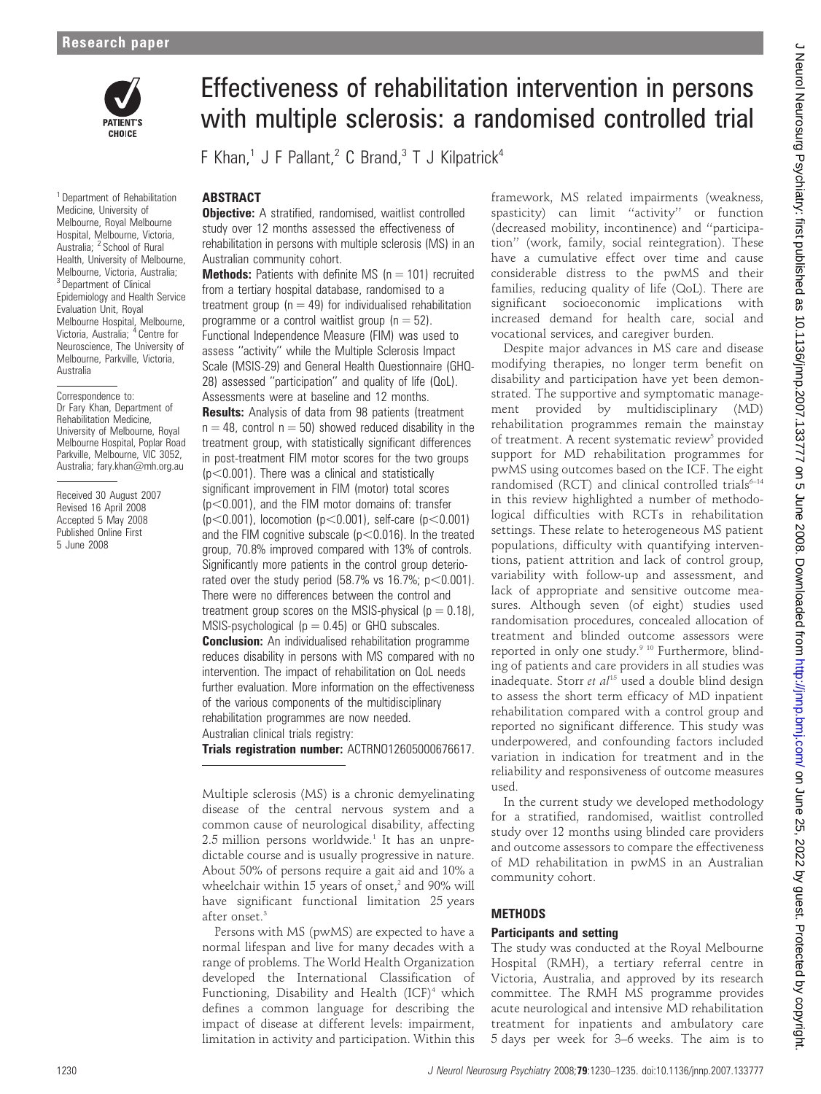

<sup>1</sup> Department of Rehabilitation Medicine, University of Melbourne, Royal Melbourne Hospital, Melbourne, Victoria, Australia; <sup>2</sup> School of Rural Health, University of Melbourne, Melbourne, Victoria, Australia; <sup>3</sup> Department of Clinical Epidemiology and Health Service Evaluation Unit, Royal Melbourne Hospital, Melbourne,<br>Victoria, Australia; <sup>4</sup> Centre for Neuroscience, The University of Melbourne, Parkville, Victoria, Australia

Correspondence to: Dr Fary Khan, Department of Rehabilitation Medicine, University of Melbourne, Royal Melbourne Hospital, Poplar Road Parkville, Melbourne, VIC 3052, Australia; fary.khan@mh.org.au

Received 30 August 2007 Revised 16 April 2008 Accepted 5 May 2008 Published Online First 5 June 2008

# Effectiveness of rehabilitation intervention in persons with multiple sclerosis: a randomised controlled trial

F Khan,<sup>1</sup> J F Pallant,<sup>2</sup> C Brand,<sup>3</sup> T J Kilpatrick<sup>4</sup>

## ABSTRACT

**Objective:** A stratified, randomised, waitlist controlled study over 12 months assessed the effectiveness of rehabilitation in persons with multiple sclerosis (MS) in an Australian community cohort.

**Methods:** Patients with definite MS ( $n = 101$ ) recruited from a tertiary hospital database, randomised to a treatment group ( $n = 49$ ) for individualised rehabilitation programme or a control waitlist group  $(n = 52)$ . Functional Independence Measure (FIM) was used to assess ''activity'' while the Multiple Sclerosis Impact Scale (MSIS-29) and General Health Questionnaire (GHQ-28) assessed ''participation'' and quality of life (QoL). Assessments were at baseline and 12 months.

**Results:** Analysis of data from 98 patients (treatment  $n = 48$ , control  $n = 50$ ) showed reduced disability in the treatment group, with statistically significant differences in post-treatment FIM motor scores for the two groups  $(p<0.001)$ . There was a clinical and statistically significant improvement in FIM (motor) total scores  $(p<0.001)$ , and the FIM motor domains of: transfer ( $p$ <0.001), locomotion ( $p$ <0.001), self-care ( $p$ <0.001) and the FIM cognitive subscale ( $p$ <0.016). In the treated group, 70.8% improved compared with 13% of controls. Significantly more patients in the control group deteriorated over the study period  $(58.7\% \text{ vs } 16.7\% \text{; } p<0.001)$ . There were no differences between the control and treatment group scores on the MSIS-physical  $(p = 0.18)$ , MSIS-psychological ( $p = 0.45$ ) or GHQ subscales. **Conclusion:** An individualised rehabilitation programme reduces disability in persons with MS compared with no intervention. The impact of rehabilitation on QoL needs further evaluation. More information on the effectiveness of the various components of the multidisciplinary rehabilitation programmes are now needed.

Australian clinical trials registry:

Trials registration number: ACTRNO12605000676617.

Multiple sclerosis (MS) is a chronic demyelinating disease of the central nervous system and a common cause of neurological disability, affecting  $2.5$  million persons worldwide.<sup>1</sup> It has an unpredictable course and is usually progressive in nature. About 50% of persons require a gait aid and 10% a wheelchair within 15 years of onset, $2$  and 90% will have significant functional limitation 25 years after onset.<sup>3</sup>

Persons with MS (pwMS) are expected to have a normal lifespan and live for many decades with a range of problems. The World Health Organization developed the International Classification of Functioning, Disability and Health (ICF)<sup>4</sup> which defines a common language for describing the impact of disease at different levels: impairment, limitation in activity and participation. Within this

framework, MS related impairments (weakness, spasticity) can limit ''activity'' or function (decreased mobility, incontinence) and ''participation'' (work, family, social reintegration). These have a cumulative effect over time and cause considerable distress to the pwMS and their families, reducing quality of life (QoL). There are significant socioeconomic implications with increased demand for health care, social and vocational services, and caregiver burden.

Despite major advances in MS care and disease modifying therapies, no longer term benefit on disability and participation have yet been demonstrated. The supportive and symptomatic management provided by multidisciplinary (MD) rehabilitation programmes remain the mainstay of treatment. A recent systematic review<sup>5</sup> provided support for MD rehabilitation programmes for pwMS using outcomes based on the ICF. The eight randomised (RCT) and clinical controlled trial $s^{6-14}$ in this review highlighted a number of methodological difficulties with RCTs in rehabilitation settings. These relate to heterogeneous MS patient populations, difficulty with quantifying interventions, patient attrition and lack of control group, variability with follow-up and assessment, and lack of appropriate and sensitive outcome measures. Although seven (of eight) studies used randomisation procedures, concealed allocation of treatment and blinded outcome assessors were reported in only one study.<sup>9 10</sup> Furthermore, blinding of patients and care providers in all studies was inadequate. Storr et  $al^{15}$  used a double blind design to assess the short term efficacy of MD inpatient rehabilitation compared with a control group and reported no significant difference. This study was underpowered, and confounding factors included variation in indication for treatment and in the reliability and responsiveness of outcome measures used.

In the current study we developed methodology for a stratified, randomised, waitlist controlled study over 12 months using blinded care providers and outcome assessors to compare the effectiveness of MD rehabilitation in pwMS in an Australian community cohort.

# **METHODS**

## Participants and setting

The study was conducted at the Royal Melbourne Hospital (RMH), a tertiary referral centre in Victoria, Australia, and approved by its research committee. The RMH MS programme provides acute neurological and intensive MD rehabilitation treatment for inpatients and ambulatory care 5 days per week for 3–6 weeks. The aim is to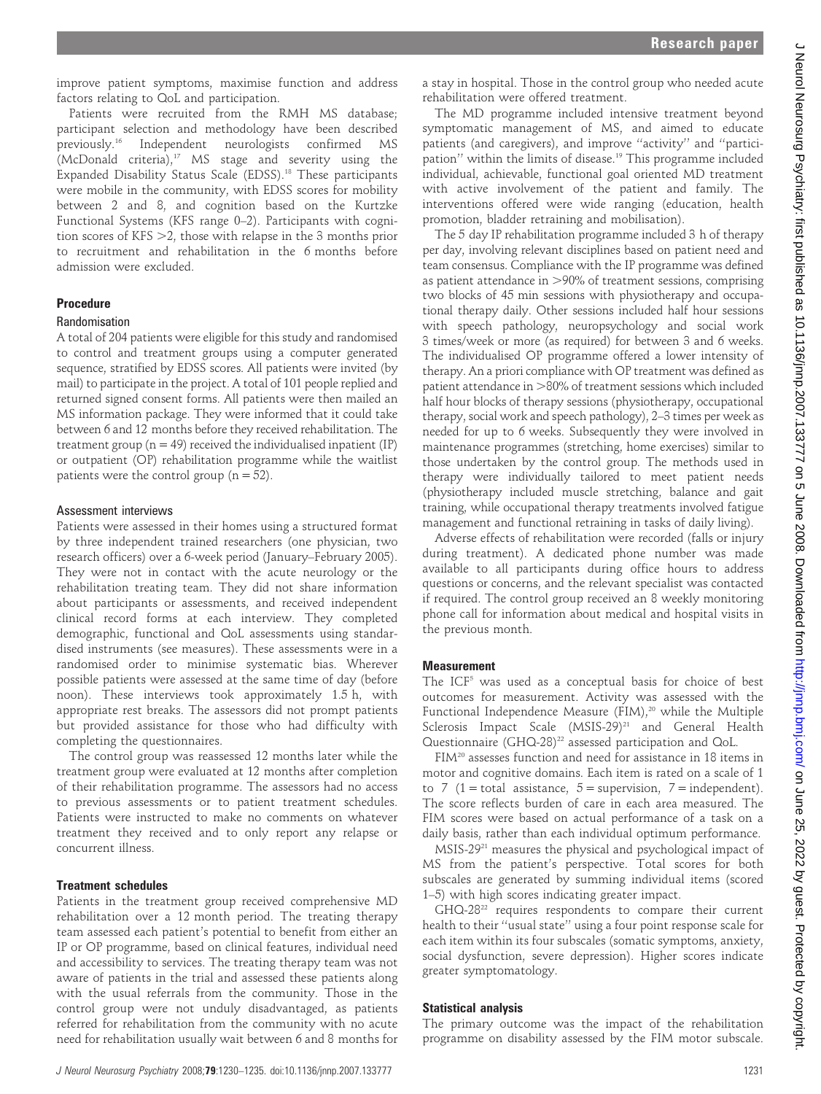improve patient symptoms, maximise function and address factors relating to QoL and participation.

Patients were recruited from the RMH MS database; participant selection and methodology have been described previously.16 Independent neurologists confirmed MS  $(Mc$ Donald criteria),<sup>17</sup> MS stage and severity using the Expanded Disability Status Scale (EDSS).<sup>18</sup> These participants were mobile in the community, with EDSS scores for mobility between 2 and 8, and cognition based on the Kurtzke Functional Systems (KFS range 0–2). Participants with cognition scores of KFS  $\geq$ 2, those with relapse in the 3 months prior to recruitment and rehabilitation in the 6 months before admission were excluded.

## Procedure

## Randomisation

A total of 204 patients were eligible for this study and randomised to control and treatment groups using a computer generated sequence, stratified by EDSS scores. All patients were invited (by mail) to participate in the project. A total of 101 people replied and returned signed consent forms. All patients were then mailed an MS information package. They were informed that it could take between 6 and 12 months before they received rehabilitation. The treatment group ( $n = 49$ ) received the individualised inpatient (IP) or outpatient (OP) rehabilitation programme while the waitlist patients were the control group  $(n = 52)$ .

## Assessment interviews

Patients were assessed in their homes using a structured format by three independent trained researchers (one physician, two research officers) over a 6-week period (January–February 2005). They were not in contact with the acute neurology or the rehabilitation treating team. They did not share information about participants or assessments, and received independent clinical record forms at each interview. They completed demographic, functional and QoL assessments using standardised instruments (see measures). These assessments were in a randomised order to minimise systematic bias. Wherever possible patients were assessed at the same time of day (before noon). These interviews took approximately 1.5 h, with appropriate rest breaks. The assessors did not prompt patients but provided assistance for those who had difficulty with completing the questionnaires.

The control group was reassessed 12 months later while the treatment group were evaluated at 12 months after completion of their rehabilitation programme. The assessors had no access to previous assessments or to patient treatment schedules. Patients were instructed to make no comments on whatever treatment they received and to only report any relapse or concurrent illness.

## Treatment schedules

Patients in the treatment group received comprehensive MD rehabilitation over a 12 month period. The treating therapy team assessed each patient's potential to benefit from either an IP or OP programme, based on clinical features, individual need and accessibility to services. The treating therapy team was not aware of patients in the trial and assessed these patients along with the usual referrals from the community. Those in the control group were not unduly disadvantaged, as patients referred for rehabilitation from the community with no acute need for rehabilitation usually wait between 6 and 8 months for

a stay in hospital. Those in the control group who needed acute rehabilitation were offered treatment.

The MD programme included intensive treatment beyond symptomatic management of MS, and aimed to educate patients (and caregivers), and improve ''activity'' and ''participation'' within the limits of disease.19 This programme included individual, achievable, functional goal oriented MD treatment with active involvement of the patient and family. The interventions offered were wide ranging (education, health promotion, bladder retraining and mobilisation).

The 5 day IP rehabilitation programme included 3 h of therapy per day, involving relevant disciplines based on patient need and team consensus. Compliance with the IP programme was defined as patient attendance in  $>90\%$  of treatment sessions, comprising two blocks of 45 min sessions with physiotherapy and occupational therapy daily. Other sessions included half hour sessions with speech pathology, neuropsychology and social work 3 times/week or more (as required) for between 3 and 6 weeks. The individualised OP programme offered a lower intensity of therapy. An a priori compliance with OP treatment was defined as patient attendance in >80% of treatment sessions which included half hour blocks of therapy sessions (physiotherapy, occupational therapy, social work and speech pathology), 2–3 times per week as needed for up to 6 weeks. Subsequently they were involved in maintenance programmes (stretching, home exercises) similar to those undertaken by the control group. The methods used in therapy were individually tailored to meet patient needs (physiotherapy included muscle stretching, balance and gait training, while occupational therapy treatments involved fatigue management and functional retraining in tasks of daily living).

Adverse effects of rehabilitation were recorded (falls or injury during treatment). A dedicated phone number was made available to all participants during office hours to address questions or concerns, and the relevant specialist was contacted if required. The control group received an 8 weekly monitoring phone call for information about medical and hospital visits in the previous month.

## Measurement

The ICF<sup>5</sup> was used as a conceptual basis for choice of best outcomes for measurement. Activity was assessed with the Functional Independence Measure (FIM),<sup>20</sup> while the Multiple Sclerosis Impact Scale (MSIS-29)<sup>21</sup> and General Health Questionnaire (GHQ-28)<sup>22</sup> assessed participation and QoL.

FIM<sup>20</sup> assesses function and need for assistance in 18 items in motor and cognitive domains. Each item is rated on a scale of 1 to 7 (1 = total assistance,  $5 =$  supervision, 7 = independent). The score reflects burden of care in each area measured. The FIM scores were based on actual performance of a task on a daily basis, rather than each individual optimum performance.

MSIS-2921 measures the physical and psychological impact of MS from the patient's perspective. Total scores for both subscales are generated by summing individual items (scored 1–5) with high scores indicating greater impact.

GHQ-28<sup>22</sup> requires respondents to compare their current health to their ''usual state'' using a four point response scale for each item within its four subscales (somatic symptoms, anxiety, social dysfunction, severe depression). Higher scores indicate greater symptomatology.

## Statistical analysis

The primary outcome was the impact of the rehabilitation programme on disability assessed by the FIM motor subscale.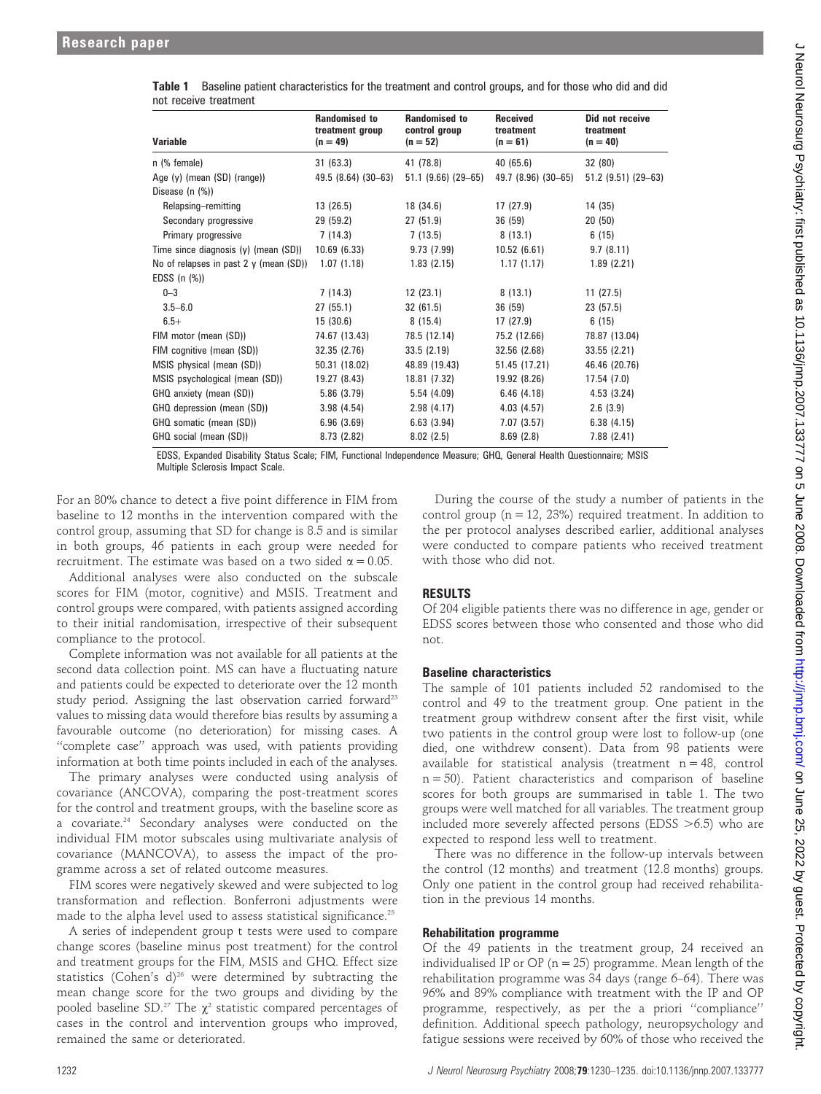| <b>Variable</b>                                | <b>Randomised to</b><br>treatment group<br>$(n = 49)$ | <b>Randomised to</b><br>control group<br>$(n = 52)$ | <b>Received</b><br>treatment<br>$(n = 61)$ | Did not receive<br>treatment<br>$(n = 40)$ |  |
|------------------------------------------------|-------------------------------------------------------|-----------------------------------------------------|--------------------------------------------|--------------------------------------------|--|
| $n \,$ (% female)                              | 31(63.3)                                              | 41 (78.8)                                           | 40 (65.6)                                  | 32(80)                                     |  |
|                                                | $49.5(8.64)(30-63)$                                   | $51.1$ (9.66) (29-65)                               | 49.7 (8.96) (30-65)                        | $51.2$ (9.51) (29-63)                      |  |
| Age (y) (mean (SD) (range))<br>Disease (n (%)) |                                                       |                                                     |                                            |                                            |  |
| Relapsing-remitting                            | 13(26.5)                                              | 18 (34.6)                                           | 17(27.9)                                   | 14 (35)                                    |  |
| Secondary progressive                          | 29 (59.2)                                             | 27(51.9)                                            | 36(59)                                     | 20(50)                                     |  |
| Primary progressive                            | 7(14.3)                                               | 7(13.5)                                             | 8(13.1)                                    | 6(15)                                      |  |
| Time since diagnosis (y) (mean (SD))           | 10.69(6.33)                                           | 9.73(7.99)                                          | 10.52(6.61)                                | 9.7(8.11)                                  |  |
| No of relapses in past 2 y (mean (SD))         | 1.07(1.18)                                            | 1.83(2.15)                                          | 1.17(1.17)                                 | 1.89(2.21)                                 |  |
| EDSS $(n \ (\%))$                              |                                                       |                                                     |                                            |                                            |  |
| $0 - 3$                                        | 7(14.3)                                               | 12(23.1)                                            | 8(13.1)                                    | 11(27.5)                                   |  |
| $3.5 - 6.0$                                    | 27(55.1)                                              | 32(61.5)                                            | 36(59)                                     | 23 (57.5)                                  |  |
| $6.5+$                                         | 15(30.6)                                              | 8(15.4)                                             | 17(27.9)                                   | 6(15)                                      |  |
| FIM motor (mean (SD))                          | 74.67 (13.43)                                         | 78.5 (12.14)                                        | 75.2 (12.66)                               | 78.87 (13.04)                              |  |
| FIM cognitive (mean (SD))                      | 32.35 (2.76)                                          | 33.5(2.19)                                          | 32.56(2.68)                                | 33.55(2.21)                                |  |
| MSIS physical (mean (SD))                      | 50.31 (18.02)                                         | 48.89 (19.43)                                       | 51.45 (17.21)                              | 46.46 (20.76)                              |  |
| MSIS psychological (mean (SD))                 | 19.27 (8.43)                                          | 18.81 (7.32)                                        | 19.92 (8.26)                               | 17.54(7.0)                                 |  |
| GHQ anxiety (mean (SD))                        | 5.86(3.79)                                            | 5.54(4.09)                                          | 6.46(4.18)                                 | 4.53(3.24)                                 |  |
| GHQ depression (mean (SD))                     | 3.98(4.54)                                            | 2.98(4.17)                                          | 4.03(4.57)                                 | 2.6(3.9)                                   |  |
| GHQ somatic (mean (SD))                        | 6.96(3.69)                                            | 6.63(3.94)                                          | 7.07(3.57)                                 | 6.38(4.15)                                 |  |
| GHQ social (mean (SD))                         | 8.73 (2.82)                                           | 8.02(2.5)                                           | 8.69(2.8)                                  | 7.88(2.41)                                 |  |

| Table 1 Baseline patient characteristics for the treatment and control groups, and for those who did and did |  |
|--------------------------------------------------------------------------------------------------------------|--|
| not receive treatment                                                                                        |  |

EDSS, Expanded Disability Status Scale; FIM, Functional Independence Measure; GHQ, General Health Questionnaire; MSIS Multiple Sclerosis Impact Scale.

For an 80% chance to detect a five point difference in FIM from baseline to 12 months in the intervention compared with the control group, assuming that SD for change is 8.5 and is similar in both groups, 46 patients in each group were needed for recruitment. The estimate was based on a two sided  $\alpha = 0.05$ .

Additional analyses were also conducted on the subscale scores for FIM (motor, cognitive) and MSIS. Treatment and control groups were compared, with patients assigned according to their initial randomisation, irrespective of their subsequent compliance to the protocol.

Complete information was not available for all patients at the second data collection point. MS can have a fluctuating nature and patients could be expected to deteriorate over the 12 month study period. Assigning the last observation carried forward<sup>23</sup> values to missing data would therefore bias results by assuming a favourable outcome (no deterioration) for missing cases. A ''complete case'' approach was used, with patients providing information at both time points included in each of the analyses.

The primary analyses were conducted using analysis of covariance (ANCOVA), comparing the post-treatment scores for the control and treatment groups, with the baseline score as a covariate.24 Secondary analyses were conducted on the individual FIM motor subscales using multivariate analysis of covariance (MANCOVA), to assess the impact of the programme across a set of related outcome measures.

FIM scores were negatively skewed and were subjected to log transformation and reflection. Bonferroni adjustments were made to the alpha level used to assess statistical significance.<sup>25</sup>

A series of independent group t tests were used to compare change scores (baseline minus post treatment) for the control and treatment groups for the FIM, MSIS and GHQ. Effect size statistics (Cohen's d)<sup>26</sup> were determined by subtracting the mean change score for the two groups and dividing by the pooled baseline SD.<sup>27</sup> The  $\chi^2$  statistic compared percentages of cases in the control and intervention groups who improved, remained the same or deteriorated.

During the course of the study a number of patients in the control group ( $n = 12, 23\%$ ) required treatment. In addition to the per protocol analyses described earlier, additional analyses were conducted to compare patients who received treatment with those who did not.

# RESULTS

Of 204 eligible patients there was no difference in age, gender or EDSS scores between those who consented and those who did not.

# Baseline characteristics

The sample of 101 patients included 52 randomised to the control and 49 to the treatment group. One patient in the treatment group withdrew consent after the first visit, while two patients in the control group were lost to follow-up (one died, one withdrew consent). Data from 98 patients were available for statistical analysis (treatment  $n = 48$ , control  $n = 50$ ). Patient characteristics and comparison of baseline scores for both groups are summarised in table 1. The two groups were well matched for all variables. The treatment group included more severely affected persons (EDSS  $>6.5$ ) who are expected to respond less well to treatment.

There was no difference in the follow-up intervals between the control (12 months) and treatment (12.8 months) groups. Only one patient in the control group had received rehabilitation in the previous 14 months.

# Rehabilitation programme

Of the 49 patients in the treatment group, 24 received an individualised IP or OP ( $n = 25$ ) programme. Mean length of the rehabilitation programme was 34 days (range 6–64). There was 96% and 89% compliance with treatment with the IP and OP programme, respectively, as per the a priori ''compliance'' definition. Additional speech pathology, neuropsychology and fatigue sessions were received by 60% of those who received the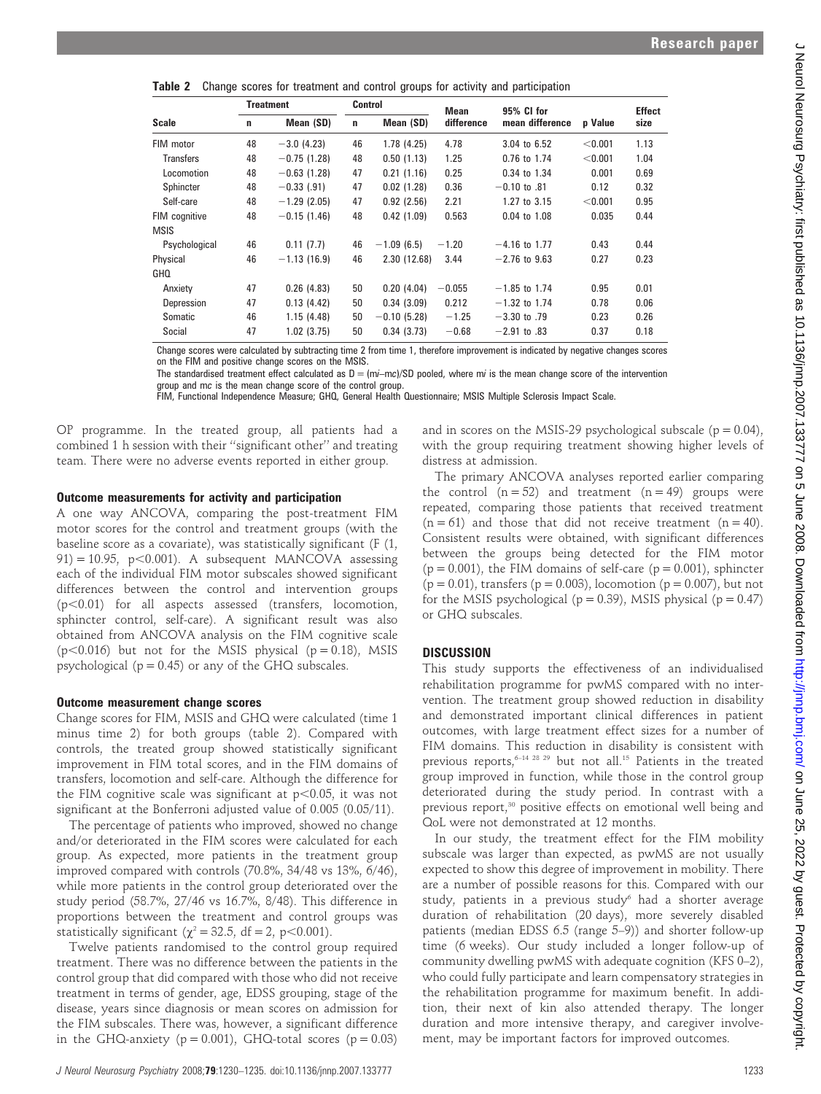|  | Table 2 Change scores for treatment and control groups for activity and participation |  |  |  |  |
|--|---------------------------------------------------------------------------------------|--|--|--|--|
|--|---------------------------------------------------------------------------------------|--|--|--|--|

|                      | <b>Treatment</b> |               | <b>Control</b> |               | <b>Mean</b> | 95% CI for      |                | <b>Effect</b> |
|----------------------|------------------|---------------|----------------|---------------|-------------|-----------------|----------------|---------------|
| <b>Scale</b>         | n                | Mean (SD)     | n              | Mean (SD)     | difference  | mean difference | <b>p</b> Value | size          |
| FIM motor            | 48               | $-3.0(4.23)$  | 46             | 1.78(4.25)    | 4.78        | 3.04 to 6.52    | < 0.001        | 1.13          |
| <b>Transfers</b>     | 48               | $-0.75(1.28)$ | 48             | 0.50(1.13)    | 1.25        | 0.76 to 1.74    | < 0.001        | 1.04          |
| Locomotion           | 48               | $-0.63(1.28)$ | 47             | 0.21(1.16)    | 0.25        | 0.34 to 1.34    | 0.001          | 0.69          |
| Sphincter            | 48               | $-0.33$ (.91) | 47             | 0.02(1.28)    | 0.36        | $-0.10$ to .81  | 0.12           | 0.32          |
| Self-care            | 48               | $-1.29(2.05)$ | 47             | 0.92(2.56)    | 2.21        | 1.27 to 3.15    | < 0.001        | 0.95          |
| <b>FIM</b> cognitive | 48               | $-0.15(1.46)$ | 48             | 0.42(1.09)    | 0.563       | 0.04 to 1.08    | 0.035          | 0.44          |
| <b>MSIS</b>          |                  |               |                |               |             |                 |                |               |
| Psychological        | 46               | 0.11(7.7)     | 46             | $-1.09(6.5)$  | $-1.20$     | $-4.16$ to 1.77 | 0.43           | 0.44          |
| Physical             | 46               | $-1.13(16.9)$ | 46             | 2.30(12.68)   | 3.44        | $-2.76$ to 9.63 | 0.27           | 0.23          |
| <b>GHQ</b>           |                  |               |                |               |             |                 |                |               |
| Anxiety              | 47               | 0.26(4.83)    | 50             | 0.20(4.04)    | $-0.055$    | $-1.85$ to 1.74 | 0.95           | 0.01          |
| Depression           | 47               | 0.13(4.42)    | 50             | 0.34(3.09)    | 0.212       | $-1.32$ to 1.74 | 0.78           | 0.06          |
| Somatic              | 46               | 1.15(4.48)    | 50             | $-0.10(5.28)$ | $-1.25$     | $-3.30$ to .79  | 0.23           | 0.26          |
| Social               | 47               | 1.02(3.75)    | 50             | 0.34(3.73)    | $-0.68$     | $-2.91$ to .83  | 0.37           | 0.18          |

Change scores were calculated by subtracting time 2 from time 1, therefore improvement is indicated by negative changes scores on the FIM and positive change scores on the MSIS.

The standardised treatment effect calculated as  $D = (mi-mc)/SD$  pooled, where mi is the mean change score of the intervention group and mc is the mean change score of the control group.

FIM, Functional Independence Measure; GHQ, General Health Questionnaire; MSIS Multiple Sclerosis Impact Scale.

OP programme. In the treated group, all patients had a combined 1 h session with their ''significant other'' and treating team. There were no adverse events reported in either group.

## Outcome measurements for activity and participation

A one way ANCOVA, comparing the post-treatment FIM motor scores for the control and treatment groups (with the baseline score as a covariate), was statistically significant (F (1,  $91$ ) = 10.95, p<0.001). A subsequent MANCOVA assessing each of the individual FIM motor subscales showed significant differences between the control and intervention groups  $(p<0.01)$  for all aspects assessed (transfers, locomotion, sphincter control, self-care). A significant result was also obtained from ANCOVA analysis on the FIM cognitive scale ( $p$ <0.016) but not for the MSIS physical ( $p$  = 0.18), MSIS psychological ( $p = 0.45$ ) or any of the GHQ subscales.

## Outcome measurement change scores

Change scores for FIM, MSIS and GHQ were calculated (time 1 minus time 2) for both groups (table 2). Compared with controls, the treated group showed statistically significant improvement in FIM total scores, and in the FIM domains of transfers, locomotion and self-care. Although the difference for the FIM cognitive scale was significant at  $p<0.05$ , it was not significant at the Bonferroni adjusted value of 0.005 (0.05/11).

The percentage of patients who improved, showed no change and/or deteriorated in the FIM scores were calculated for each group. As expected, more patients in the treatment group improved compared with controls (70.8%, 34/48 vs 13%, 6/46), while more patients in the control group deteriorated over the study period (58.7%, 27/46 vs 16.7%, 8/48). This difference in proportions between the treatment and control groups was statistically significant ( $\chi^2 = 32.5$ , df = 2, p<0.001).

Twelve patients randomised to the control group required treatment. There was no difference between the patients in the control group that did compared with those who did not receive treatment in terms of gender, age, EDSS grouping, stage of the disease, years since diagnosis or mean scores on admission for the FIM subscales. There was, however, a significant difference in the GHQ-anxiety ( $p = 0.001$ ), GHQ-total scores ( $p = 0.03$ )

and in scores on the MSIS-29 psychological subscale ( $p = 0.04$ ). with the group requiring treatment showing higher levels of distress at admission.

The primary ANCOVA analyses reported earlier comparing the control  $(n = 52)$  and treatment  $(n = 49)$  groups were repeated, comparing those patients that received treatment  $(n = 61)$  and those that did not receive treatment  $(n = 40)$ . Consistent results were obtained, with significant differences between the groups being detected for the FIM motor  $(p = 0.001)$ , the FIM domains of self-care  $(p = 0.001)$ , sphincter  $(p = 0.01)$ , transfers  $(p = 0.003)$ , locomotion  $(p = 0.007)$ , but not for the MSIS psychological ( $p = 0.39$ ), MSIS physical ( $p = 0.47$ ) or GHQ subscales.

## **DISCUSSION**

This study supports the effectiveness of an individualised rehabilitation programme for pwMS compared with no intervention. The treatment group showed reduction in disability and demonstrated important clinical differences in patient outcomes, with large treatment effect sizes for a number of FIM domains. This reduction in disability is consistent with previous reports,  $6-14$  28 29 but not all.<sup>15</sup> Patients in the treated group improved in function, while those in the control group deteriorated during the study period. In contrast with a previous report,<sup>30</sup> positive effects on emotional well being and QoL were not demonstrated at 12 months.

In our study, the treatment effect for the FIM mobility subscale was larger than expected, as pwMS are not usually expected to show this degree of improvement in mobility. There are a number of possible reasons for this. Compared with our study, patients in a previous study $6$  had a shorter average duration of rehabilitation (20 days), more severely disabled patients (median EDSS 6.5 (range 5–9)) and shorter follow-up time (6 weeks). Our study included a longer follow-up of community dwelling pwMS with adequate cognition (KFS 0–2), who could fully participate and learn compensatory strategies in the rehabilitation programme for maximum benefit. In addition, their next of kin also attended therapy. The longer duration and more intensive therapy, and caregiver involvement, may be important factors for improved outcomes.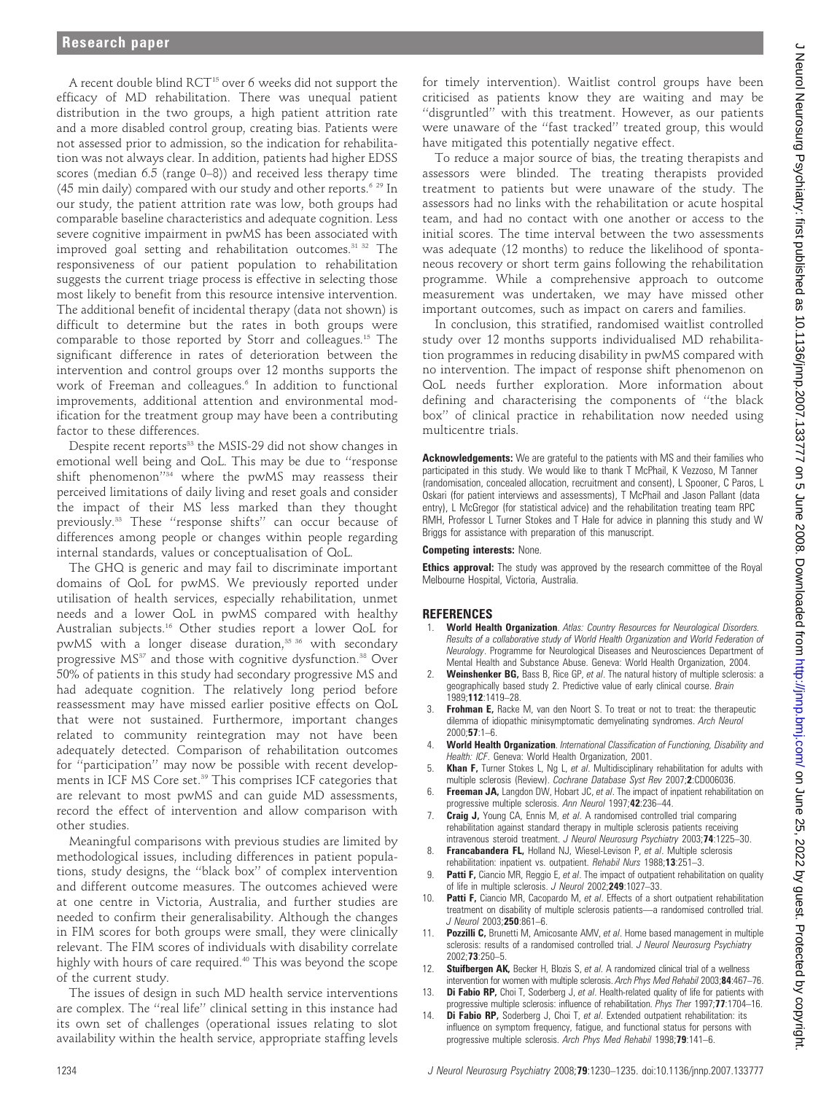A recent double blind RCT<sup>15</sup> over 6 weeks did not support the efficacy of MD rehabilitation. There was unequal patient distribution in the two groups, a high patient attrition rate and a more disabled control group, creating bias. Patients were not assessed prior to admission, so the indication for rehabilitation was not always clear. In addition, patients had higher EDSS scores (median 6.5 (range 0–8)) and received less therapy time (45 min daily) compared with our study and other reports.<sup>6 29</sup> In our study, the patient attrition rate was low, both groups had comparable baseline characteristics and adequate cognition. Less severe cognitive impairment in pwMS has been associated with improved goal setting and rehabilitation outcomes.<sup>31 32</sup> The responsiveness of our patient population to rehabilitation suggests the current triage process is effective in selecting those most likely to benefit from this resource intensive intervention. The additional benefit of incidental therapy (data not shown) is difficult to determine but the rates in both groups were comparable to those reported by Storr and colleagues.15 The significant difference in rates of deterioration between the intervention and control groups over 12 months supports the work of Freeman and colleagues.<sup>6</sup> In addition to functional improvements, additional attention and environmental modification for the treatment group may have been a contributing factor to these differences.

Despite recent reports<sup>33</sup> the MSIS-29 did not show changes in emotional well being and QoL. This may be due to ''response shift phenomenon''34 where the pwMS may reassess their perceived limitations of daily living and reset goals and consider the impact of their MS less marked than they thought previously.33 These ''response shifts'' can occur because of differences among people or changes within people regarding internal standards, values or conceptualisation of QoL.

The GHQ is generic and may fail to discriminate important domains of QoL for pwMS. We previously reported under utilisation of health services, especially rehabilitation, unmet needs and a lower QoL in pwMS compared with healthy Australian subjects.16 Other studies report a lower QoL for pwMS with a longer disease duration,<sup>35 36</sup> with secondary progressive MS<sup>37</sup> and those with cognitive dysfunction.<sup>38</sup> Over 50% of patients in this study had secondary progressive MS and had adequate cognition. The relatively long period before reassessment may have missed earlier positive effects on QoL that were not sustained. Furthermore, important changes related to community reintegration may not have been adequately detected. Comparison of rehabilitation outcomes for ''participation'' may now be possible with recent developments in ICF MS Core set.<sup>39</sup> This comprises ICF categories that are relevant to most pwMS and can guide MD assessments, record the effect of intervention and allow comparison with other studies.

Meaningful comparisons with previous studies are limited by methodological issues, including differences in patient populations, study designs, the ''black box'' of complex intervention and different outcome measures. The outcomes achieved were at one centre in Victoria, Australia, and further studies are needed to confirm their generalisability. Although the changes in FIM scores for both groups were small, they were clinically relevant. The FIM scores of individuals with disability correlate highly with hours of care required.<sup>40</sup> This was beyond the scope of the current study.

The issues of design in such MD health service interventions are complex. The "real life" clinical setting in this instance had its own set of challenges (operational issues relating to slot availability within the health service, appropriate staffing levels

for timely intervention). Waitlist control groups have been criticised as patients know they are waiting and may be ''disgruntled'' with this treatment. However, as our patients were unaware of the ''fast tracked'' treated group, this would have mitigated this potentially negative effect.

To reduce a major source of bias, the treating therapists and assessors were blinded. The treating therapists provided treatment to patients but were unaware of the study. The assessors had no links with the rehabilitation or acute hospital team, and had no contact with one another or access to the initial scores. The time interval between the two assessments was adequate (12 months) to reduce the likelihood of spontaneous recovery or short term gains following the rehabilitation programme. While a comprehensive approach to outcome measurement was undertaken, we may have missed other important outcomes, such as impact on carers and families.

In conclusion, this stratified, randomised waitlist controlled study over 12 months supports individualised MD rehabilitation programmes in reducing disability in pwMS compared with no intervention. The impact of response shift phenomenon on QoL needs further exploration. More information about defining and characterising the components of ''the black box'' of clinical practice in rehabilitation now needed using multicentre trials.

Acknowledgements: We are grateful to the patients with MS and their families who participated in this study. We would like to thank T McPhail, K Vezzoso, M Tanner (randomisation, concealed allocation, recruitment and consent), L Spooner, C Paros, L Oskari (for patient interviews and assessments), T McPhail and Jason Pallant (data entry). L McGregor (for statistical advice) and the rehabilitation treating team RPC RMH, Professor L Turner Stokes and T Hale for advice in planning this study and W Briggs for assistance with preparation of this manuscript.

#### Competing interests: None.

**Ethics approval:** The study was approved by the research committee of the Royal Melbourne Hospital, Victoria, Australia.

#### **REFERENCES**

- 1. World Health Organization. Atlas: Country Resources for Neurological Disorders. Results of a collaborative study of World Health Organization and World Federation of Neurology. Programme for Neurological Diseases and Neurosciences Department of Mental Health and Substance Abuse. Geneva: World Health Organization, 2004.
- Weinshenker BG, Bass B, Rice GP, et al. The natural history of multiple sclerosis: a geographically based study 2. Predictive value of early clinical course. Brain 1989;112:1419–28.
- 3. Frohman E, Racke M, van den Noort S. To treat or not to treat: the therapeutic dilemma of idiopathic minisymptomatic demyelinating syndromes. Arch Neurol 2000;57:1–6.
- 4. World Health Organization. International Classification of Functioning, Disability and Health: ICF. Geneva: World Health Organization, 2001.
- 5. Khan F, Turner Stokes L, Ng L, et al. Multidisciplinary rehabilitation for adults with
- multiple sclerosis (Review). Cochrane Database Syst Rev 2007;2:CD006036. 6. Freeman JA, Langdon DW, Hobart JC, et al. The impact of inpatient rehabilitation on
- progressive multiple sclerosis. Ann Neurol 1997;42:236-44. 7. **Craig J,** Young CA, Ennis M, et al. A randomised controlled trial comparing rehabilitation against standard therapy in multiple sclerosis patients receiving intravenous steroid treatment. J Neurol Neurosurg Psychiatry 2003;74:1225-30.
- 8. Francabandera FL, Holland NJ, Wiesel-Levison P, et al. Multiple sclerosis rehabilitation: inpatient vs. outpatient. Rehabil Nurs 1988;13:251–3.
- 9. Patti F, Ciancio MR, Reggio E, et al. The impact of outpatient rehabilitation on quality of life in multiple sclerosis. J Neurol 2002;249:1027–33.
- 10. Patti F, Ciancio MR, Cacopardo M, et al. Effects of a short outpatient rehabilitation treatment on disability of multiple sclerosis patients—a randomised controlled trial. J Neurol 2003;250:861–6.
- 11. Pozzilli C, Brunetti M, Amicosante AMV, et al. Home based management in multiple sclerosis: results of a randomised controlled trial. J Neurol Neurosurg Psychiatry 2002;73:250–5.
- 12. Stuifbergen AK, Becker H, Blozis S, et al. A randomized clinical trial of a wellness intervention for women with multiple sclerosis. Arch Phys Med Rehabil 2003;84:467-76.
- 13. Di Fabio RP, Choi T, Soderberg J, et al. Health-related quality of life for patients with progressive multiple sclerosis: influence of rehabilitation. Phys Ther 1997;77:1704–16.
- 14. Di Fabio RP, Soderberg J, Choi T, et al. Extended outpatient rehabilitation: its influence on symptom frequency, fatigue, and functional status for persons with progressive multiple sclerosis. Arch Phys Med Rehabil 1998;79:141–6.